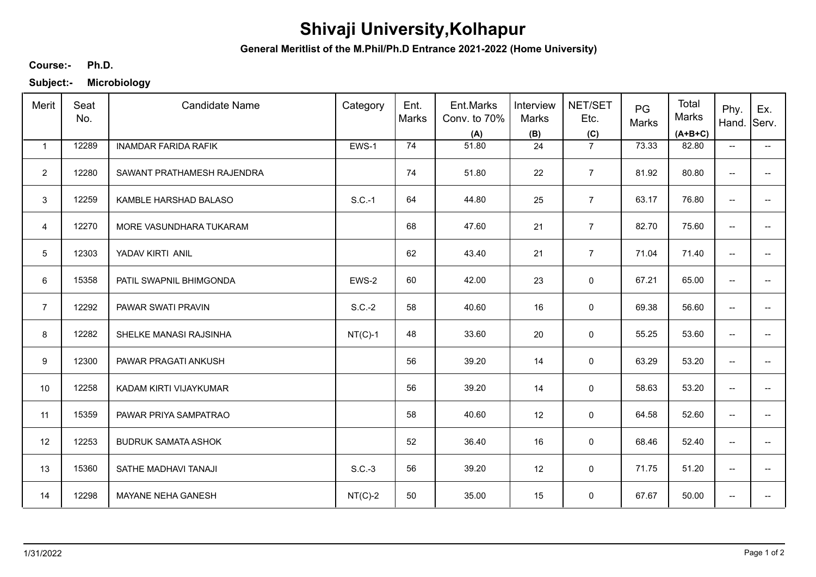## **Shivaji University,Kolhapur**

**General Meritlist of the M.Phil/Ph.D Entrance 2021-2022 (Home University)**

## **Ph.D. Course:-**

**Subject:- Microbiology**

| Merit           | Seat<br>No. | <b>Candidate Name</b>       | Category  | Ent.<br>Marks | Ent.Marks<br>Conv. to 70%<br>(A) | Interview<br>Marks<br>(B) | NET/SET<br>Etc.<br>(C) | PG<br>Marks | Total<br>Marks<br>$(A+B+C)$ | Phy.<br>Hand.            | Ex.<br>Serv.             |
|-----------------|-------------|-----------------------------|-----------|---------------|----------------------------------|---------------------------|------------------------|-------------|-----------------------------|--------------------------|--------------------------|
| $\mathbf{1}$    | 12289       | <b>INAMDAR FARIDA RAFIK</b> | EWS-1     | 74            | 51.80                            | 24                        | $\overline{7}$         | 73.33       | 82.80                       | $\overline{\phantom{a}}$ | $\overline{\phantom{a}}$ |
| $\overline{2}$  | 12280       | SAWANT PRATHAMESH RAJENDRA  |           | 74            | 51.80                            | 22                        | $\overline{7}$         | 81.92       | 80.80                       | $\overline{\phantom{a}}$ |                          |
| 3               | 12259       | KAMBLE HARSHAD BALASO       | $S.C.-1$  | 64            | 44.80                            | 25                        | $\overline{7}$         | 63.17       | 76.80                       | $\overline{\phantom{a}}$ |                          |
| $\overline{4}$  | 12270       | MORE VASUNDHARA TUKARAM     |           | 68            | 47.60                            | 21                        | $\overline{7}$         | 82.70       | 75.60                       | $\overline{\phantom{a}}$ |                          |
| $5\phantom{.0}$ | 12303       | YADAV KIRTI ANIL            |           | 62            | 43.40                            | 21                        | $\overline{7}$         | 71.04       | 71.40                       | $\overline{\phantom{a}}$ | --                       |
| 6               | 15358       | PATIL SWAPNIL BHIMGONDA     | EWS-2     | 60            | 42.00                            | 23                        | 0                      | 67.21       | 65.00                       | $\overline{\phantom{a}}$ | $\overline{\phantom{a}}$ |
| $\overline{7}$  | 12292       | PAWAR SWATI PRAVIN          | $S.C.-2$  | 58            | 40.60                            | 16                        | 0                      | 69.38       | 56.60                       | $\overline{\phantom{a}}$ | --                       |
| 8               | 12282       | SHELKE MANASI RAJSINHA      | $NT(C)-1$ | 48            | 33.60                            | 20                        | 0                      | 55.25       | 53.60                       | $\overline{\phantom{a}}$ |                          |
| 9               | 12300       | PAWAR PRAGATI ANKUSH        |           | 56            | 39.20                            | 14                        | 0                      | 63.29       | 53.20                       | $\overline{\phantom{a}}$ |                          |
| 10              | 12258       | KADAM KIRTI VIJAYKUMAR      |           | 56            | 39.20                            | 14                        | $\mathsf 0$            | 58.63       | 53.20                       | --                       |                          |
| 11              | 15359       | PAWAR PRIYA SAMPATRAO       |           | 58            | 40.60                            | 12                        | $\mathsf 0$            | 64.58       | 52.60                       | $\overline{\phantom{a}}$ | $\qquad \qquad -$        |
| 12              | 12253       | <b>BUDRUK SAMATA ASHOK</b>  |           | 52            | 36.40                            | 16                        | $\mathbf 0$            | 68.46       | 52.40                       | $\overline{\phantom{m}}$ | --                       |
| 13              | 15360       | SATHE MADHAVI TANAJI        | $S.C.-3$  | 56            | 39.20                            | 12                        | 0                      | 71.75       | 51.20                       | $\overline{\phantom{a}}$ | $\overline{\phantom{a}}$ |
| 14              | 12298       | MAYANE NEHA GANESH          | $NT(C)-2$ | 50            | 35.00                            | 15                        | $\mathbf 0$            | 67.67       | 50.00                       | $\overline{\phantom{a}}$ | --                       |